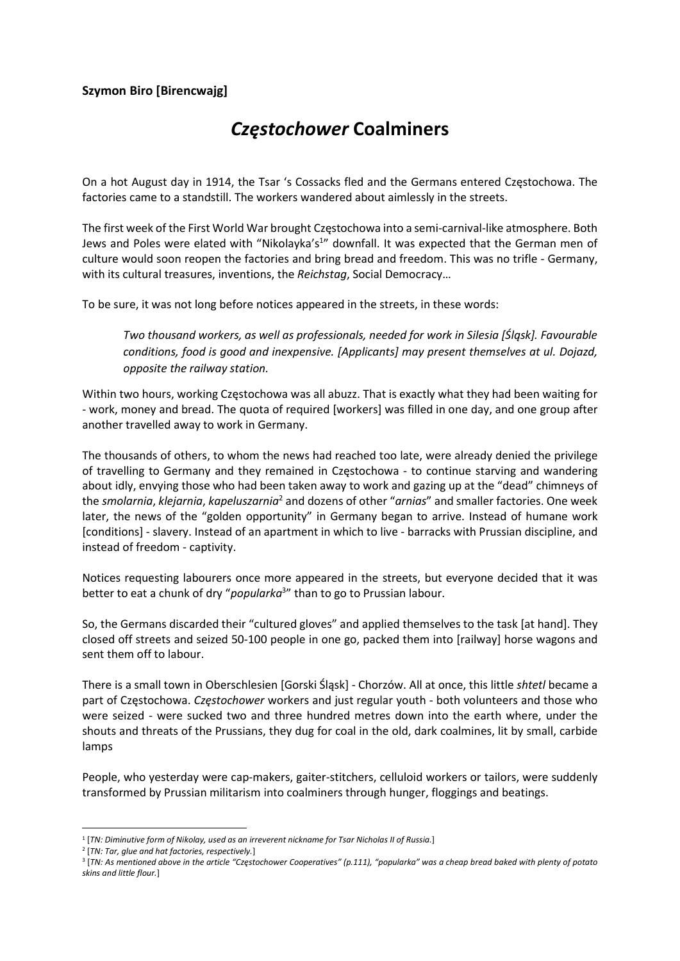## Szymon Biro [Birencwajg]

## Częstochower Coalminers

On a hot August day in 1914, the Tsar 's Cossacks fled and the Germans entered Częstochowa. The factories came to a standstill. The workers wandered about aimlessly in the streets.

The first week of the First World War brought Częstochowa into a semi-carnival-like atmosphere. Both Jews and Poles were elated with "Nikolayka's<sup>1</sup>" downfall. It was expected that the German men of culture would soon reopen the factories and bring bread and freedom. This was no trifle - Germany, with its cultural treasures, inventions, the Reichstag, Social Democracy...

To be sure, it was not long before notices appeared in the streets, in these words:

Two thousand workers, as well as professionals, needed for work in Silesia [Śląsk]. Favourable conditions, food is good and inexpensive. [Applicants] may present themselves at ul. Dojazd, opposite the railway station.

Within two hours, working Częstochowa was all abuzz. That is exactly what they had been waiting for - work, money and bread. The quota of required [workers] was filled in one day, and one group after another travelled away to work in Germany.

The thousands of others, to whom the news had reached too late, were already denied the privilege of travelling to Germany and they remained in Częstochowa - to continue starving and wandering about idly, envying those who had been taken away to work and gazing up at the "dead" chimneys of the smolarnia, klejarnia, kapeluszarnia<sup>2</sup> and dozens of other "arnias" and smaller factories. One week later, the news of the "golden opportunity" in Germany began to arrive. Instead of humane work [conditions] - slavery. Instead of an apartment in which to live - barracks with Prussian discipline, and instead of freedom - captivity.

Notices requesting labourers once more appeared in the streets, but everyone decided that it was better to eat a chunk of dry "popularka<sup>3</sup>" than to go to Prussian labour.

So, the Germans discarded their "cultured gloves" and applied themselves to the task [at hand]. They closed off streets and seized 50-100 people in one go, packed them into [railway] horse wagons and sent them off to labour.

There is a small town in Oberschlesien [Gorski Ślask] - Chorzów. All at once, this little shtetl became a part of Częstochowa. Częstochower workers and just regular youth - both volunteers and those who were seized - were sucked two and three hundred metres down into the earth where, under the shouts and threats of the Prussians, they dug for coal in the old, dark coalmines, lit by small, carbide lamps

People, who yesterday were cap-makers, gaiter-stitchers, celluloid workers or tailors, were suddenly transformed by Prussian militarism into coalminers through hunger, floggings and beatings.

<sup>1</sup> [TN: Diminutive form of Nikolay, used as an irreverent nickname for Tsar Nicholas II of Russia.]

<sup>&</sup>lt;sup>2</sup> [TN: Tar, glue and hat factories, respectively.]

<sup>3</sup> [TN: As mentioned above in the article "Częstochower Cooperatives" (p.111), "popularka" was a cheap bread baked with plenty of potato skins and little flour.]